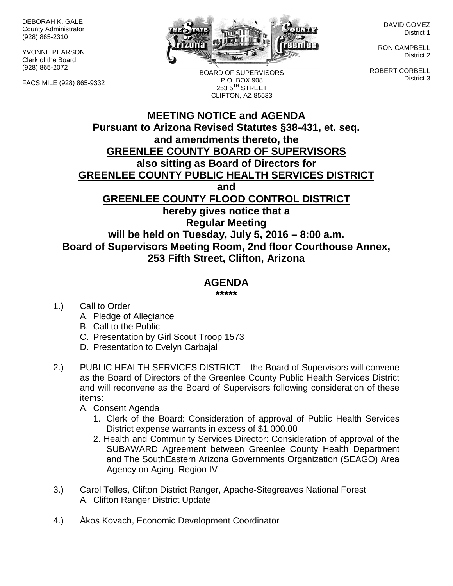DEBORAH K. GALE County Administrator (928) 865-2310

YVONNE PEARSON Clerk of the Board (928) 865-2072

FACSIMILE (928) 865-9332



BOARD OF SUPERVISORS P.O. BOX 908 253 5<sup>TH</sup> STREET CLIFTON, AZ 85533

DAVID GOMEZ District 1

RON CAMPBELL District 2

ROBERT CORBELL District 3

## **MEETING NOTICE and AGENDA Pursuant to Arizona Revised Statutes §38-431, et. seq. and amendments thereto, the GREENLEE COUNTY BOARD OF SUPERVISORS also sitting as Board of Directors for GREENLEE COUNTY PUBLIC HEALTH SERVICES DISTRICT and GREENLEE COUNTY FLOOD CONTROL DISTRICT hereby gives notice that a Regular Meeting will be held on Tuesday, July 5, 2016 – 8:00 a.m. Board of Supervisors Meeting Room, 2nd floor Courthouse Annex,**

## **253 Fifth Street, Clifton, Arizona**

## **AGENDA**

**\*\*\*\*\***

- 1.) Call to Order
	- A. Pledge of Allegiance
	- B. Call to the Public
	- C. Presentation by Girl Scout Troop 1573
	- D. Presentation to Evelyn Carbajal
- 2.) PUBLIC HEALTH SERVICES DISTRICT the Board of Supervisors will convene as the Board of Directors of the Greenlee County Public Health Services District and will reconvene as the Board of Supervisors following consideration of these items:
	- A. Consent Agenda
		- 1. Clerk of the Board: Consideration of approval of Public Health Services District expense warrants in excess of \$1,000.00
		- 2. Health and Community Services Director: Consideration of approval of the SUBAWARD Agreement between Greenlee County Health Department and The SouthEastern Arizona Governments Organization (SEAGO) Area Agency on Aging, Region IV
- 3.) Carol Telles, Clifton District Ranger, Apache-Sitegreaves National Forest A. Clifton Ranger District Update
- 4.) Ákos Kovach, Economic Development Coordinator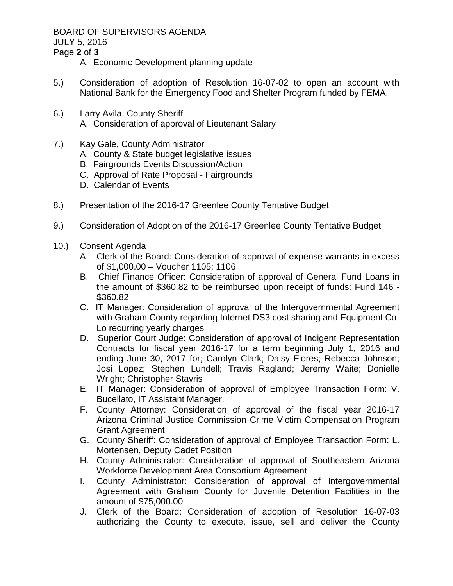BOARD OF SUPERVISORS AGENDA

JULY 5, 2016

Page **2** of **3**

A. Economic Development planning update

- 5.) Consideration of adoption of Resolution 16-07-02 to open an account with National Bank for the Emergency Food and Shelter Program funded by FEMA.
- 6.) Larry Avila, County Sheriff A. Consideration of approval of Lieutenant Salary
- 7.) Kay Gale, County Administrator
	- A. County & State budget legislative issues
	- B. Fairgrounds Events Discussion/Action
	- C. Approval of Rate Proposal Fairgrounds
	- D. Calendar of Events
- 8.) Presentation of the 2016-17 Greenlee County Tentative Budget
- 9.) Consideration of Adoption of the 2016-17 Greenlee County Tentative Budget
- 10.) Consent Agenda
	- A. Clerk of the Board: Consideration of approval of expense warrants in excess of \$1,000.00 – Voucher 1105; 1106
	- B. Chief Finance Officer: Consideration of approval of General Fund Loans in the amount of \$360.82 to be reimbursed upon receipt of funds: Fund 146 - \$360.82
	- C. IT Manager: Consideration of approval of the Intergovernmental Agreement with Graham County regarding Internet DS3 cost sharing and Equipment Co-Lo recurring yearly charges
	- D. Superior Court Judge: Consideration of approval of Indigent Representation Contracts for fiscal year 2016-17 for a term beginning July 1, 2016 and ending June 30, 2017 for; Carolyn Clark; Daisy Flores; Rebecca Johnson; Josi Lopez; Stephen Lundell; Travis Ragland; Jeremy Waite; Donielle Wright; Christopher Stavris
	- E. IT Manager: Consideration of approval of Employee Transaction Form: V. Bucellato, IT Assistant Manager.
	- F. County Attorney: Consideration of approval of the fiscal year 2016-17 Arizona Criminal Justice Commission Crime Victim Compensation Program Grant Agreement
	- G. County Sheriff: Consideration of approval of Employee Transaction Form: L. Mortensen, Deputy Cadet Position
	- H. County Administrator: Consideration of approval of Southeastern Arizona Workforce Development Area Consortium Agreement
	- I. County Administrator: Consideration of approval of Intergovernmental Agreement with Graham County for Juvenile Detention Facilities in the amount of \$75,000.00
	- J. Clerk of the Board: Consideration of adoption of Resolution 16-07-03 authorizing the County to execute, issue, sell and deliver the County